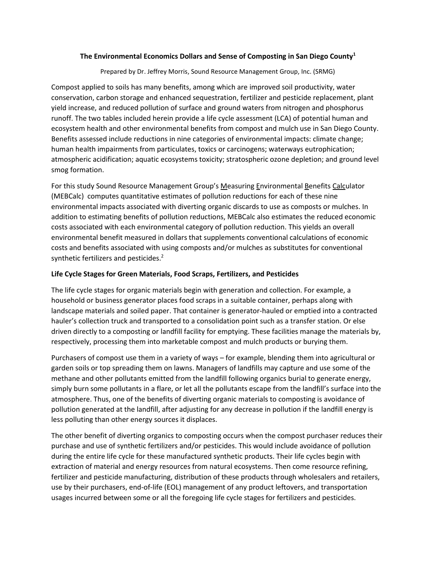#### **The Environmental Economics Dollars and Sense of Composting in San Diego County<sup>1</sup>**

Prepared by Dr. Jeffrey Morris, Sound Resource Management Group, Inc. (SRMG)

Compost applied to soils has many benefits, among which are improved soil productivity, water conservation, carbon storage and enhanced sequestration, fertilizer and pesticide replacement, plant yield increase, and reduced pollution of surface and ground waters from nitrogen and phosphorus runoff. The two tables included herein provide a life cycle assessment (LCA) of potential human and ecosystem health and other environmental benefits from compost and mulch use in San Diego County. Benefits assessed include reductions in nine categories of environmental impacts: climate change; human health impairments from particulates, toxics or carcinogens; waterways eutrophication; atmospheric acidification; aquatic ecosystems toxicity; stratospheric ozone depletion; and ground level smog formation.

For this study Sound Resource Management Group's Measuring Environmental Benefits Calculator (MEBCalc) computes quantitative estimates of pollution reductions for each of these nine environmental impacts associated with diverting organic discards to use as composts or mulches. In addition to estimating benefits of pollution reductions, MEBCalc also estimates the reduced economic costs associated with each environmental category of pollution reduction. This yields an overall environmental benefit measured in dollars that supplements conventional calculations of economic costs and benefits associated with using composts and/or mulches as substitutes for conventional synthetic fertilizers and pesticides.<sup>2</sup>

### **Life Cycle Stages for Green Materials, Food Scraps, Fertilizers, and Pesticides**

The life cycle stages for organic materials begin with generation and collection. For example, a household or business generator places food scraps in a suitable container, perhaps along with landscape materials and soiled paper. That container is generator-hauled or emptied into a contracted hauler's collection truck and transported to a consolidation point such as a transfer station. Or else driven directly to a composting or landfill facility for emptying. These facilities manage the materials by, respectively, processing them into marketable compost and mulch products or burying them.

Purchasers of compost use them in a variety of ways – for example, blending them into agricultural or garden soils or top spreading them on lawns. Managers of landfills may capture and use some of the methane and other pollutants emitted from the landfill following organics burial to generate energy, simply burn some pollutants in a flare, or let all the pollutants escape from the landfill's surface into the atmosphere. Thus, one of the benefits of diverting organic materials to composting is avoidance of pollution generated at the landfill, after adjusting for any decrease in pollution if the landfill energy is less polluting than other energy sources it displaces.

The other benefit of diverting organics to composting occurs when the compost purchaser reduces their purchase and use of synthetic fertilizers and/or pesticides. This would include avoidance of pollution during the entire life cycle for these manufactured synthetic products. Their life cycles begin with extraction of material and energy resources from natural ecosystems. Then come resource refining, fertilizer and pesticide manufacturing, distribution of these products through wholesalers and retailers, use by their purchasers, end-of-life (EOL) management of any product leftovers, and transportation usages incurred between some or all the foregoing life cycle stages for fertilizers and pesticides.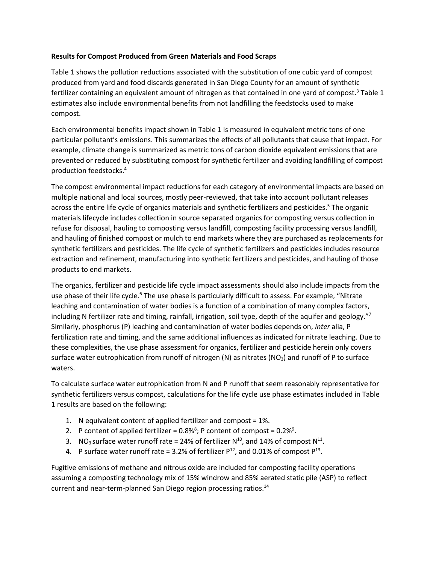### **Results for Compost Produced from Green Materials and Food Scraps**

Table 1 shows the pollution reductions associated with the substitution of one cubic yard of compost produced from yard and food discards generated in San Diego County for an amount of synthetic fertilizer containing an equivalent amount of nitrogen as that contained in one yard of compost.<sup>3</sup> Table 1 estimates also include environmental benefits from not landfilling the feedstocks used to make compost.

Each environmental benefits impact shown in Table 1 is measured in equivalent metric tons of one particular pollutant's emissions. This summarizes the effects of all pollutants that cause that impact. For example, climate change is summarized as metric tons of carbon dioxide equivalent emissions that are prevented or reduced by substituting compost for synthetic fertilizer and avoiding landfilling of compost production feedstocks. 4

The compost environmental impact reductions for each category of environmental impacts are based on multiple national and local sources, mostly peer-reviewed, that take into account pollutant releases across the entire life cycle of organics materials and synthetic fertilizers and pesticides.<sup>5</sup> The organic materials lifecycle includes collection in source separated organics for composting versus collection in refuse for disposal, hauling to composting versus landfill, composting facility processing versus landfill, and hauling of finished compost or mulch to end markets where they are purchased as replacements for synthetic fertilizers and pesticides. The life cycle of synthetic fertilizers and pesticides includes resource extraction and refinement, manufacturing into synthetic fertilizers and pesticides, and hauling of those products to end markets.

The organics, fertilizer and pesticide life cycle impact assessments should also include impacts from the use phase of their life cycle.<sup>6</sup> The use phase is particularly difficult to assess. For example, "Nitrate leaching and contamination of water bodies is a function of a combination of many complex factors, including N fertilizer rate and timing, rainfall, irrigation, soil type, depth of the aquifer and geology."<sup>7</sup> Similarly, phosphorus (P) leaching and contamination of water bodies depends on, *inter* alia, P fertilization rate and timing, and the same additional influences as indicated for nitrate leaching. Due to these complexities, the use phase assessment for organics, fertilizer and pesticide herein only covers surface water eutrophication from runoff of nitrogen (N) as nitrates (NO<sub>3</sub>) and runoff of P to surface waters.

To calculate surface water eutrophication from N and P runoff that seem reasonably representative for synthetic fertilizers versus compost, calculations for the life cycle use phase estimates included in Table 1 results are based on the following:

- 1. N equivalent content of applied fertilizer and compost = 1%.
- 2. P content of applied fertilizer =  $0.8\%$ <sup>8</sup>; P content of compost =  $0.2\%$ <sup>9</sup>.
- 3. NO<sub>3</sub> surface water runoff rate = 24% of fertilizer N<sup>10</sup>, and 14% of compost N<sup>11</sup>.
- 4. P surface water runoff rate = 3.2% of fertilizer  $P^{12}$ , and 0.01% of compost  $P^{13}$ .

Fugitive emissions of methane and nitrous oxide are included for composting facility operations assuming a composting technology mix of 15% windrow and 85% aerated static pile (ASP) to reflect current and near-term-planned San Diego region processing ratios.<sup>14</sup>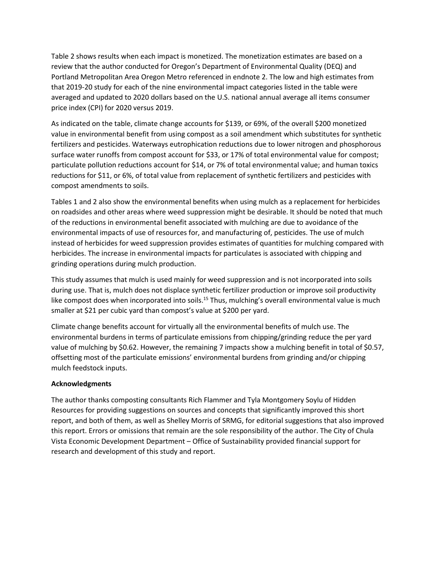Table 2 shows results when each impact is monetized. The monetization estimates are based on a review that the author conducted for Oregon's Department of Environmental Quality (DEQ) and Portland Metropolitan Area Oregon Metro referenced in endnote 2. The low and high estimates from that 2019-20 study for each of the nine environmental impact categories listed in the table were averaged and updated to 2020 dollars based on the U.S. national annual average all items consumer price index (CPI) for 2020 versus 2019.

As indicated on the table, climate change accounts for \$139, or 69%, of the overall \$200 monetized value in environmental benefit from using compost as a soil amendment which substitutes for synthetic fertilizers and pesticides. Waterways eutrophication reductions due to lower nitrogen and phosphorous surface water runoffs from compost account for \$33, or 17% of total environmental value for compost; particulate pollution reductions account for \$14, or 7% of total environmental value; and human toxics reductions for \$11, or 6%, of total value from replacement of synthetic fertilizers and pesticides with compost amendments to soils.

Tables 1 and 2 also show the environmental benefits when using mulch as a replacement for herbicides on roadsides and other areas where weed suppression might be desirable. It should be noted that much of the reductions in environmental benefit associated with mulching are due to avoidance of the environmental impacts of use of resources for, and manufacturing of, pesticides. The use of mulch instead of herbicides for weed suppression provides estimates of quantities for mulching compared with herbicides. The increase in environmental impacts for particulates is associated with chipping and grinding operations during mulch production.

This study assumes that mulch is used mainly for weed suppression and is not incorporated into soils during use. That is, mulch does not displace synthetic fertilizer production or improve soil productivity like compost does when incorporated into soils.<sup>15</sup> Thus, mulching's overall environmental value is much smaller at \$21 per cubic yard than compost's value at \$200 per yard.

Climate change benefits account for virtually all the environmental benefits of mulch use. The environmental burdens in terms of particulate emissions from chipping/grinding reduce the per yard value of mulching by \$0.62. However, the remaining 7 impacts show a mulching benefit in total of \$0.57, offsetting most of the particulate emissions' environmental burdens from grinding and/or chipping mulch feedstock inputs.

## **Acknowledgments**

The author thanks composting consultants Rich Flammer and Tyla Montgomery Soylu of Hidden Resources for providing suggestions on sources and concepts that significantly improved this short report, and both of them, as well as Shelley Morris of SRMG, for editorial suggestions that also improved this report. Errors or omissions that remain are the sole responsibility of the author. The City of Chula Vista Economic Development Department – Office of Sustainability provided financial support for research and development of this study and report.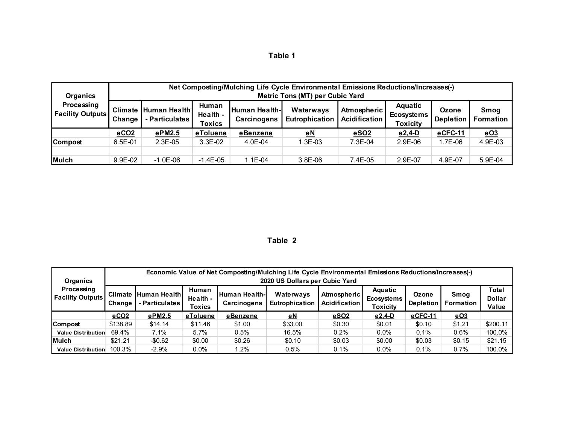| л<br>о<br>ыо |  |
|--------------|--|
|--------------|--|

| Organics<br>Processing<br><b>Facility Outputs</b> | Net Composting/Mulching Life Cycle Environmental Emissions Reductions/Increases(-)<br>Metric Tons (MT) per Cubic Yard |                                               |                             |                                     |                             |                              |                                                        |                           |                          |
|---------------------------------------------------|-----------------------------------------------------------------------------------------------------------------------|-----------------------------------------------|-----------------------------|-------------------------------------|-----------------------------|------------------------------|--------------------------------------------------------|---------------------------|--------------------------|
|                                                   | Change                                                                                                                | <b>Climate Human Health</b><br>- Particulates | Human<br>Health -<br>Toxics | <b>Human Health-</b><br>Carcinogens | Waterways<br>Eutrophication | Atmospheric<br>Acidification | <b>Aguatic</b><br><b>Ecosystems</b><br><b>Toxicity</b> | Ozone<br><b>Depletion</b> | Smog<br><b>Formation</b> |
|                                                   | eCO <sub>2</sub>                                                                                                      | ePM2.5                                        | eToluene                    | eBenzene                            | eN                          | eSO <sub>2</sub>             | $e2,4-D$                                               | eCFC-11                   | eO3                      |
| <b>Compost</b>                                    | $6.5E-01$                                                                                                             | $2.3E-05$                                     | $3.3E-02$                   | 4.0E-04                             | 1.3E-03                     | $7.3E-04$                    | $2.9E-06$                                              | $1.7E-06$                 | 4.9E-03                  |
|                                                   |                                                                                                                       |                                               |                             |                                     |                             |                              |                                                        |                           |                          |
| Mulch                                             | 9.9E-02                                                                                                               | $-1.0E - 06$                                  | $-1.4E - 05$                | 1.1E-04                             | $3.8E - 06$                 | 7.4E-05                      | 2.9E-07                                                | 4.9E-07                   | $5.9E-04$                |

# **Table 2**

| Organics<br>Processing<br><b>Facility Outputs</b> | Economic Value of Net Composting/Mulching Life Cycle Environmental Emissions Reductions/Increases(-)<br>2020 US Dollars per Cubic Yard |                                               |                                    |                                       |                             |                              |                                                 |                           |                          |                                        |
|---------------------------------------------------|----------------------------------------------------------------------------------------------------------------------------------------|-----------------------------------------------|------------------------------------|---------------------------------------|-----------------------------|------------------------------|-------------------------------------------------|---------------------------|--------------------------|----------------------------------------|
|                                                   | Change                                                                                                                                 | <b>Climate Human Health</b><br>- Particulates | <b>Human</b><br>Health -<br>Toxics | lHuman Health-I<br><b>Carcinogens</b> | Waterways<br>Eutrophication | Atmospheric<br>Acidification | <b>Aquatic</b><br><b>Ecosystems</b><br>Toxicitv | Ozone<br><b>Depletion</b> | Smoa<br><b>Formation</b> | <b>Total</b><br><b>Dollar</b><br>Value |
|                                                   | eCO <sub>2</sub>                                                                                                                       | ePM2.5                                        | eToluene                           | eBenzene                              | <u>eN</u>                   | eSO <sub>2</sub>             | $e2,4-D$                                        | eCFC-11                   | <u>eO3</u>               |                                        |
| <b>Compost</b>                                    | \$138.89                                                                                                                               | \$14.14                                       | \$11.46                            | \$1.00                                | \$33.00                     | \$0.30                       | \$0.01                                          | \$0.10                    | \$1.21                   | \$200.11                               |
| <b>Value Distribution</b>                         | 69.4%                                                                                                                                  | 7.1%                                          | 5.7%                               | 0.5%                                  | 16.5%                       | 0.2%                         | $0.0\%$                                         | 0.1%                      | 0.6%                     | 100.0%                                 |
| Mulch                                             | \$21.21                                                                                                                                | $-$0.62$                                      | \$0.00                             | \$0.26                                | \$0.10                      | \$0.03                       | \$0.00                                          | \$0.03                    | \$0.15                   | \$21.15                                |
| <b>Value Distribution</b>                         | 100.3%                                                                                                                                 | $-2.9%$                                       | $0.0\%$                            | 1.2%                                  | 0.5%                        | 0.1%                         | $0.0\%$                                         | 0.1%                      | 0.7%                     | 100.0%                                 |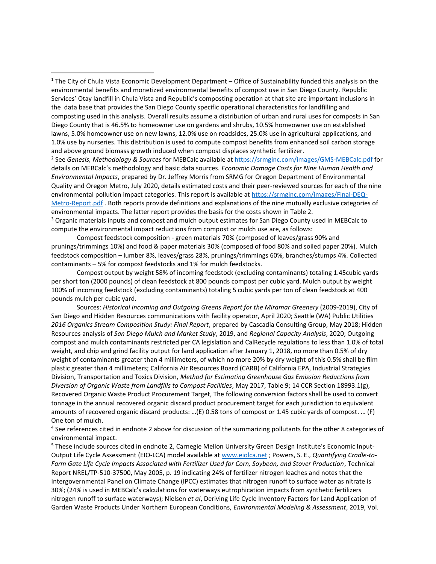2 See *Genesis, Methodology & Sources* for MEBCalc available a[t https://srmginc.com/images/GMS-MEBCalc.pdf](https://srmginc.com/images/GMS-MEBCalc.pdf) for details on MEBCalc's methodology and basic data sources. *Economic Damage Costs for Nine Human Health and Environmental Impacts*, prepared by Dr. Jeffrey Morris from SRMG for Oregon Department of Environmental Quality and Oregon Metro, July 2020, details estimated costs and their peer-reviewed sources for each of the nine environmental pollution impact categories. This report is available a[t https://srmginc.com/images/Final-DEQ-](https://srmginc.com/images/Final-DEQ-Metro-Report.pdf)[Metro-Report.pdf](https://srmginc.com/images/Final-DEQ-Metro-Report.pdf) . Both reports provide definitions and explanations of the nine mutually exclusive categories of environmental impacts. The latter report provides the basis for the costs shown in Table 2. <sup>3</sup> Organic materials inputs and compost and mulch output estimates for San Diego County used in MEBCalc to compute the environmental impact reductions from compost or mulch use are, as follows:

Compost feedstock composition - green materials 70% (composed of leaves/grass 90% and prunings/trimmings 10%) and food & paper materials 30% (composed of food 80% and soiled paper 20%). Mulch feedstock composition – lumber 8%, leaves/grass 28%, prunings/trimmings 60%, branches/stumps 4%. Collected contaminants – 5% for compost feedstocks and 1% for mulch feedstocks.

Compost output by weight 58% of incoming feedstock (excluding contaminants) totaling 1.45cubic yards per short ton (2000 pounds) of clean feedstock at 800 pounds compost per cubic yard. Mulch output by weight 100% of incoming feedstock (excluding contaminants) totaling 5 cubic yards per ton of clean feedstock at 400 pounds mulch per cubic yard.

Sources: *Historical Incoming and Outgoing Greens Report for the Miramar Greenery* (2009-2019), City of San Diego and Hidden Resources communications with facility operator, April 2020; Seattle (WA) Public Utilities *2016 Organics Stream Composition Study: Final Report*, prepared by Cascadia Consulting Group, May 2018; Hidden Resources analysis of *San Diego Mulch and Market Study*, 2019, and *Regional Capacity Analysis*, 2020; Outgoing compost and mulch contaminants restricted per CA legislation and CalRecycle regulations to less than 1.0% of total weight, and chip and grind facility output for land application after January 1, 2018, no more than 0.5% of dry weight of contaminants greater than 4 millimeters, of which no more 20% by dry weight of this 0.5% shall be film plastic greater than 4 millimeters; California Air Resources Board (CARB) of California EPA, Industrial Strategies Division, Transportation and Toxics Division, *Method for Estimating Greenhouse Gas Emission Reductions from Diversion of Organic Waste from Landfills to Compost Facilities*, May 2017, Table 9; 14 CCR Section 18993.1(g), Recovered Organic Waste Product Procurement Target, The following conversion factors shall be used to convert tonnage in the annual recovered organic discard product procurement target for each jurisdiction to equivalent amounts of recovered organic discard products: …(E) 0.58 tons of compost or 1.45 cubic yards of compost. … (F) One ton of mulch.

<sup>4</sup> See references cited in endnote 2 above for discussion of the summarizing pollutants for the other 8 categories of environmental impact.

<sup>5</sup> These include sources cited in endnote 2, Carnegie Mellon University Green Design Institute's Economic Input-Output Life Cycle Assessment (EIO-LCA) model available a[t www.eiolca.net](http://www.eiolca.net/) ; Powers, S. E., *Quantifying Cradle-to-Farm Gate Life Cycle Impacts Associated with Fertilizer Used for Corn, Soybean, and Stover Production*, Technical Report NREL/TP-510-37500, May 2005, p. 19 indicating 24% of fertilizer nitrogen leaches and notes that the Intergovernmental Panel on Climate Change (IPCC) estimates that nitrogen runoff to surface water as nitrate is 30%; (24% is used in MEBCalc's calculations for waterways eutrophication impacts from synthetic fertilizers nitrogen runoff to surface waterways); Nielsen *et al*, Deriving Life Cycle Inventory Factors for Land Application of Garden Waste Products Under Northern European Conditions, *Environmental Modeling & Assessment*, 2019, Vol.

 $1$  The City of Chula Vista Economic Development Department – Office of Sustainability funded this analysis on the environmental benefits and monetized environmental benefits of compost use in San Diego County. Republic Services' Otay landfill in Chula Vista and Republic's composting operation at that site are important inclusions in the data base that provides the San Diego County specific operational characteristics for landfilling and composting used in this analysis. Overall results assume a distribution of urban and rural uses for composts in San Diego County that is 46.5% to homeowner use on gardens and shrubs, 10.5% homeowner use on established lawns, 5.0% homeowner use on new lawns, 12.0% use on roadsides, 25.0% use in agricultural applications, and 1.0% use by nurseries. This distribution is used to compute compost benefits from enhanced soil carbon storage and above ground biomass growth induced when compost displaces synthetic fertilizer.